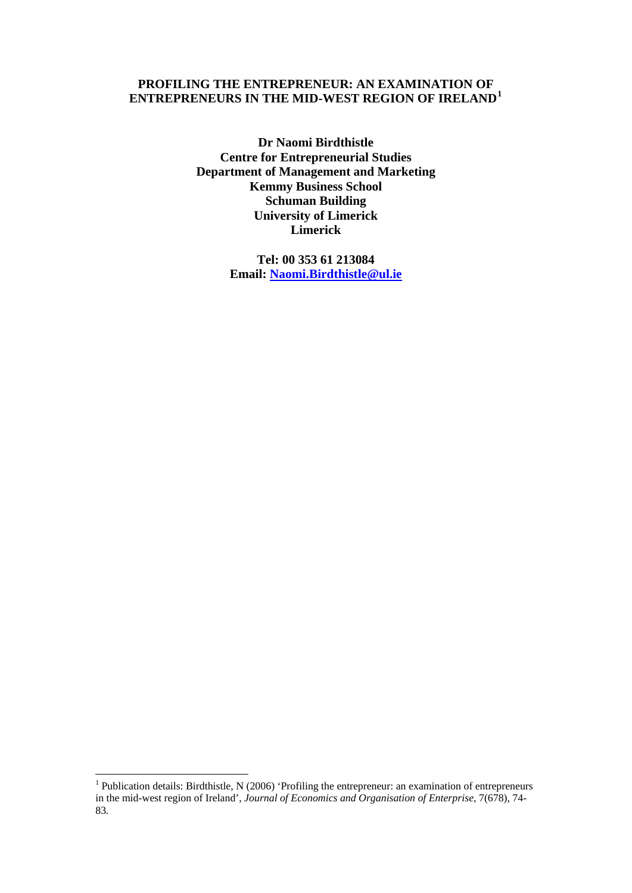## **PROFILING THE ENTREPRENEUR: AN EXAMINATION OF ENTREPRENEURS IN THE MID-WEST REGION OF IRELAND[1](#page-0-0)**

**Dr Naomi Birdthistle Centre for Entrepreneurial Studies Department of Management and Marketing Kemmy Business School Schuman Building University of Limerick Limerick** 

> <span id="page-0-0"></span>**Tel: 00 353 61 213084 Email: [Naomi.Birdthistle@ul.i](mailto:naomi.birdthistle@ul.ie)e**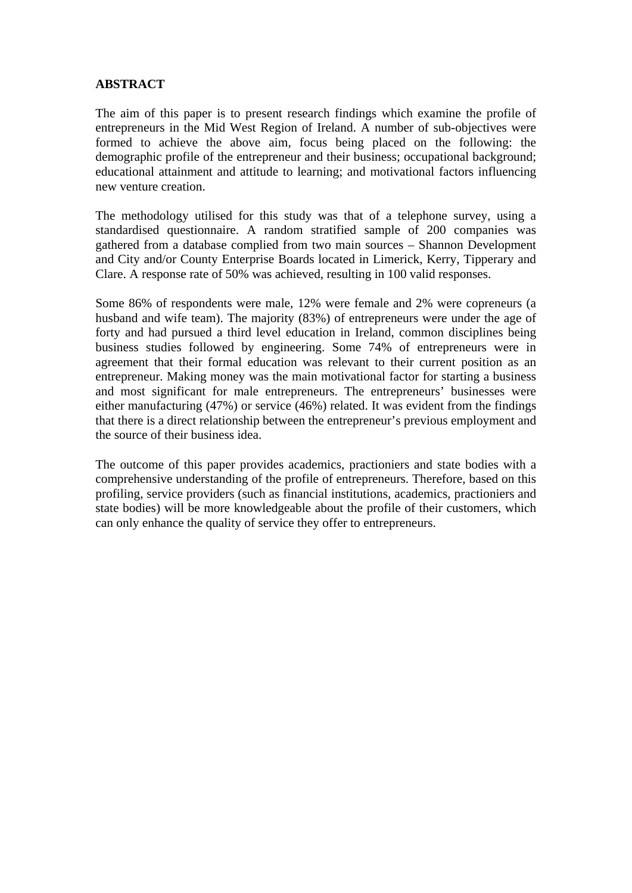## **ABSTRACT**

The aim of this paper is to present research findings which examine the profile of entrepreneurs in the Mid West Region of Ireland. A number of sub-objectives were formed to achieve the above aim, focus being placed on the following: the demographic profile of the entrepreneur and their business; occupational background; educational attainment and attitude to learning; and motivational factors influencing new venture creation.

The methodology utilised for this study was that of a telephone survey, using a standardised questionnaire. A random stratified sample of 200 companies was gathered from a database complied from two main sources – Shannon Development and City and/or County Enterprise Boards located in Limerick, Kerry, Tipperary and Clare. A response rate of 50% was achieved, resulting in 100 valid responses.

Some 86% of respondents were male, 12% were female and 2% were copreneurs (a husband and wife team). The majority (83%) of entrepreneurs were under the age of forty and had pursued a third level education in Ireland, common disciplines being business studies followed by engineering. Some 74% of entrepreneurs were in agreement that their formal education was relevant to their current position as an entrepreneur. Making money was the main motivational factor for starting a business and most significant for male entrepreneurs. The entrepreneurs' businesses were either manufacturing (47%) or service (46%) related. It was evident from the findings that there is a direct relationship between the entrepreneur's previous employment and the source of their business idea.

The outcome of this paper provides academics, practioniers and state bodies with a comprehensive understanding of the profile of entrepreneurs. Therefore, based on this profiling, service providers (such as financial institutions, academics, practioniers and state bodies) will be more knowledgeable about the profile of their customers, which can only enhance the quality of service they offer to entrepreneurs.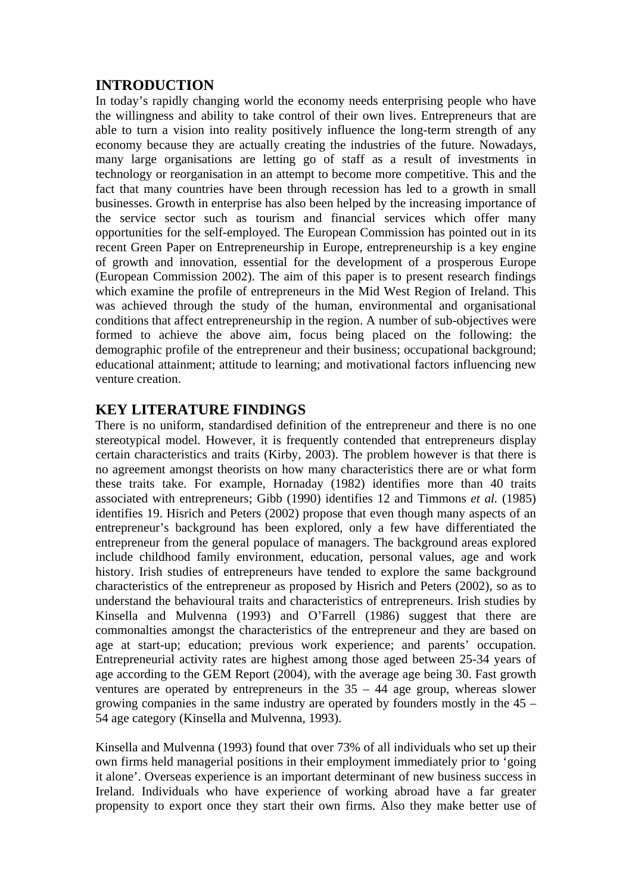## **INTRODUCTION**

In today's rapidly changing world the economy needs enterprising people who have the willingness and ability to take control of their own lives. Entrepreneurs that are able to turn a vision into reality positively influence the long-term strength of any economy because they are actually creating the industries of the future. Nowadays, many large organisations are letting go of staff as a result of investments in technology or reorganisation in an attempt to become more competitive. This and the fact that many countries have been through recession has led to a growth in small businesses. Growth in enterprise has also been helped by the increasing importance of the service sector such as tourism and financial services which offer many opportunities for the self-employed. The European Commission has pointed out in its recent Green Paper on Entrepreneurship in Europe, entrepreneurship is a key engine of growth and innovation, essential for the development of a prosperous Europe (European Commission 2002). The aim of this paper is to present research findings which examine the profile of entrepreneurs in the Mid West Region of Ireland. This was achieved through the study of the human, environmental and organisational conditions that affect entrepreneurship in the region. A number of sub-objectives were formed to achieve the above aim, focus being placed on the following: the demographic profile of the entrepreneur and their business; occupational background; educational attainment; attitude to learning; and motivational factors influencing new venture creation.

# **KEY LITERATURE FINDINGS**

There is no uniform, standardised definition of the entrepreneur and there is no one stereotypical model. However, it is frequently contended that entrepreneurs display certain characteristics and traits (Kirby, 2003). The problem however is that there is no agreement amongst theorists on how many characteristics there are or what form these traits take. For example, Hornaday (1982) identifies more than 40 traits associated with entrepreneurs; Gibb (1990) identifies 12 and Timmons *et al.* (1985) identifies 19. Hisrich and Peters (2002) propose that even though many aspects of an entrepreneur's background has been explored, only a few have differentiated the entrepreneur from the general populace of managers. The background areas explored include childhood family environment, education, personal values, age and work history. Irish studies of entrepreneurs have tended to explore the same background characteristics of the entrepreneur as proposed by Hisrich and Peters (2002), so as to understand the behavioural traits and characteristics of entrepreneurs. Irish studies by Kinsella and Mulvenna (1993) and O'Farrell (1986) suggest that there are commonalties amongst the characteristics of the entrepreneur and they are based on age at start-up; education; previous work experience; and parents' occupation. Entrepreneurial activity rates are highest among those aged between 25-34 years of age according to the GEM Report (2004), with the average age being 30. Fast growth ventures are operated by entrepreneurs in the 35 – 44 age group, whereas slower growing companies in the same industry are operated by founders mostly in the 45 – 54 age category (Kinsella and Mulvenna, 1993).

Kinsella and Mulvenna (1993) found that over 73% of all individuals who set up their own firms held managerial positions in their employment immediately prior to 'going it alone'. Overseas experience is an important determinant of new business success in Ireland. Individuals who have experience of working abroad have a far greater propensity to export once they start their own firms. Also they make better use of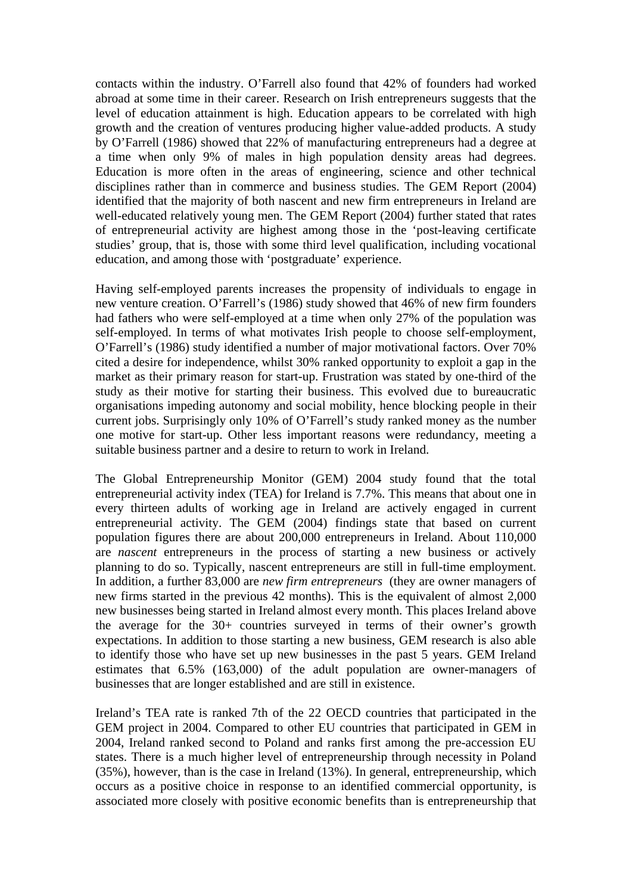contacts within the industry. O'Farrell also found that 42% of founders had worked abroad at some time in their career. Research on Irish entrepreneurs suggests that the level of education attainment is high. Education appears to be correlated with high growth and the creation of ventures producing higher value-added products. A study by O'Farrell (1986) showed that 22% of manufacturing entrepreneurs had a degree at a time when only 9% of males in high population density areas had degrees. Education is more often in the areas of engineering, science and other technical disciplines rather than in commerce and business studies. The GEM Report (2004) identified that the majority of both nascent and new firm entrepreneurs in Ireland are well-educated relatively young men. The GEM Report (2004) further stated that rates of entrepreneurial activity are highest among those in the 'post-leaving certificate studies' group, that is, those with some third level qualification, including vocational education, and among those with 'postgraduate' experience.

Having self-employed parents increases the propensity of individuals to engage in new venture creation. O'Farrell's (1986) study showed that 46% of new firm founders had fathers who were self-employed at a time when only 27% of the population was self-employed. In terms of what motivates Irish people to choose self-employment, O'Farrell's (1986) study identified a number of major motivational factors. Over 70% cited a desire for independence, whilst 30% ranked opportunity to exploit a gap in the market as their primary reason for start-up. Frustration was stated by one-third of the study as their motive for starting their business. This evolved due to bureaucratic organisations impeding autonomy and social mobility, hence blocking people in their current jobs. Surprisingly only 10% of O'Farrell's study ranked money as the number one motive for start-up. Other less important reasons were redundancy, meeting a suitable business partner and a desire to return to work in Ireland.

The Global Entrepreneurship Monitor (GEM) 2004 study found that the total entrepreneurial activity index (TEA) for Ireland is 7.7%. This means that about one in every thirteen adults of working age in Ireland are actively engaged in current entrepreneurial activity. The GEM (2004) findings state that based on current population figures there are about 200,000 entrepreneurs in Ireland. About 110,000 are *nascent* entrepreneurs in the process of starting a new business or actively planning to do so. Typically, nascent entrepreneurs are still in full-time employment. In addition, a further 83,000 are *new firm entrepreneurs* (they are owner managers of new firms started in the previous 42 months). This is the equivalent of almost 2,000 new businesses being started in Ireland almost every month. This places Ireland above the average for the 30+ countries surveyed in terms of their owner's growth expectations. In addition to those starting a new business, GEM research is also able to identify those who have set up new businesses in the past 5 years. GEM Ireland estimates that 6.5% (163,000) of the adult population are owner-managers of businesses that are longer established and are still in existence.

Ireland's TEA rate is ranked 7th of the 22 OECD countries that participated in the GEM project in 2004. Compared to other EU countries that participated in GEM in 2004, Ireland ranked second to Poland and ranks first among the pre-accession EU states. There is a much higher level of entrepreneurship through necessity in Poland (35%), however, than is the case in Ireland (13%). In general, entrepreneurship, which occurs as a positive choice in response to an identified commercial opportunity, is associated more closely with positive economic benefits than is entrepreneurship that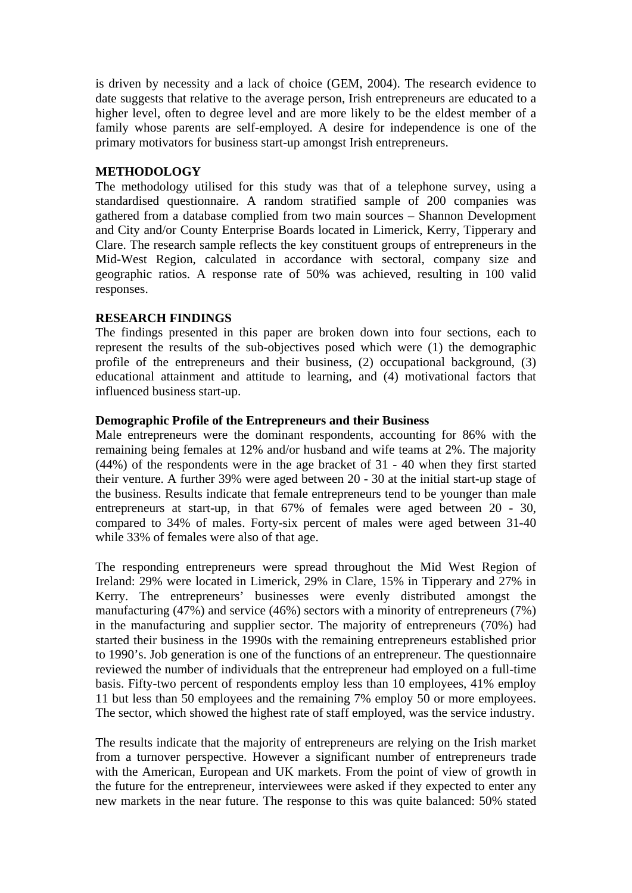is driven by necessity and a lack of choice (GEM, 2004). The research evidence to date suggests that relative to the average person, Irish entrepreneurs are educated to a higher level, often to degree level and are more likely to be the eldest member of a family whose parents are self-employed. A desire for independence is one of the primary motivators for business start-up amongst Irish entrepreneurs.

#### **METHODOLOGY**

The methodology utilised for this study was that of a telephone survey, using a standardised questionnaire. A random stratified sample of 200 companies was gathered from a database complied from two main sources – Shannon Development and City and/or County Enterprise Boards located in Limerick, Kerry, Tipperary and Clare. The research sample reflects the key constituent groups of entrepreneurs in the Mid-West Region, calculated in accordance with sectoral, company size and geographic ratios. A response rate of 50% was achieved, resulting in 100 valid responses.

#### **RESEARCH FINDINGS**

The findings presented in this paper are broken down into four sections, each to represent the results of the sub-objectives posed which were (1) the demographic profile of the entrepreneurs and their business, (2) occupational background, (3) educational attainment and attitude to learning, and (4) motivational factors that influenced business start-up.

#### **Demographic Profile of the Entrepreneurs and their Business**

Male entrepreneurs were the dominant respondents, accounting for 86% with the remaining being females at 12% and/or husband and wife teams at 2%. The majority (44%) of the respondents were in the age bracket of 31 - 40 when they first started their venture. A further 39% were aged between 20 - 30 at the initial start-up stage of the business. Results indicate that female entrepreneurs tend to be younger than male entrepreneurs at start-up, in that 67% of females were aged between 20 - 30, compared to 34% of males. Forty-six percent of males were aged between 31-40 while 33% of females were also of that age.

The responding entrepreneurs were spread throughout the Mid West Region of Ireland: 29% were located in Limerick, 29% in Clare, 15% in Tipperary and 27% in Kerry. The entrepreneurs' businesses were evenly distributed amongst the manufacturing (47%) and service (46%) sectors with a minority of entrepreneurs (7%) in the manufacturing and supplier sector. The majority of entrepreneurs (70%) had started their business in the 1990s with the remaining entrepreneurs established prior to 1990's. Job generation is one of the functions of an entrepreneur. The questionnaire reviewed the number of individuals that the entrepreneur had employed on a full-time basis. Fifty-two percent of respondents employ less than 10 employees, 41% employ 11 but less than 50 employees and the remaining 7% employ 50 or more employees. The sector, which showed the highest rate of staff employed, was the service industry.

The results indicate that the majority of entrepreneurs are relying on the Irish market from a turnover perspective. However a significant number of entrepreneurs trade with the American, European and UK markets. From the point of view of growth in the future for the entrepreneur, interviewees were asked if they expected to enter any new markets in the near future. The response to this was quite balanced: 50% stated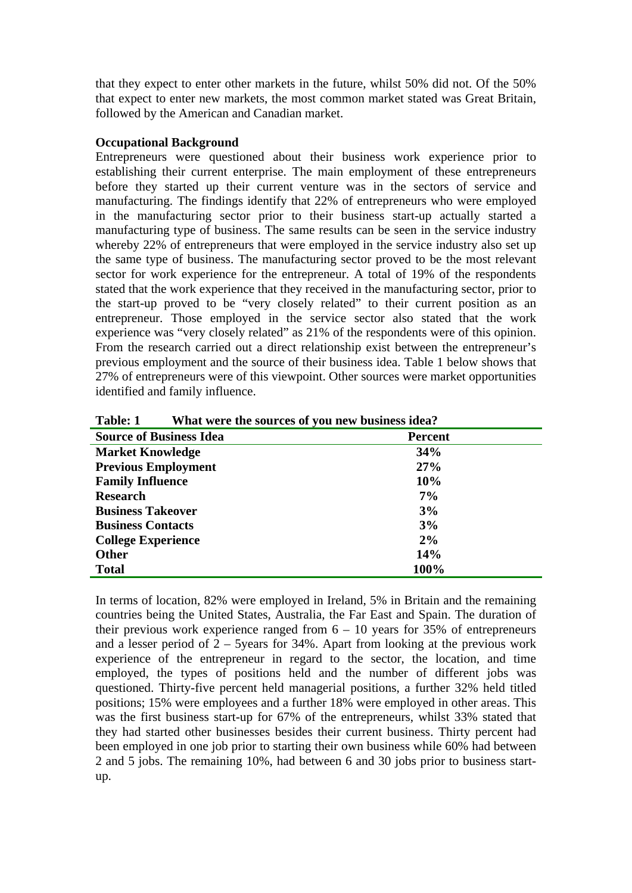that they expect to enter other markets in the future, whilst 50% did not. Of the 50% that expect to enter new markets, the most common market stated was Great Britain, followed by the American and Canadian market.

#### **Occupational Background**

Entrepreneurs were questioned about their business work experience prior to establishing their current enterprise. The main employment of these entrepreneurs before they started up their current venture was in the sectors of service and manufacturing. The findings identify that 22% of entrepreneurs who were employed in the manufacturing sector prior to their business start-up actually started a manufacturing type of business. The same results can be seen in the service industry whereby 22% of entrepreneurs that were employed in the service industry also set up the same type of business. The manufacturing sector proved to be the most relevant sector for work experience for the entrepreneur. A total of 19% of the respondents stated that the work experience that they received in the manufacturing sector, prior to the start-up proved to be "very closely related" to their current position as an entrepreneur. Those employed in the service sector also stated that the work experience was "very closely related" as 21% of the respondents were of this opinion. From the research carried out a direct relationship exist between the entrepreneur's previous employment and the source of their business idea. Table 1 below shows that 27% of entrepreneurs were of this viewpoint. Other sources were market opportunities identified and family influence.

| $11$ may $11$ cm $\bullet$ cm $\bullet$ both even on $11$ our mean $\bullet$ building both and $\bullet$ |         |
|----------------------------------------------------------------------------------------------------------|---------|
| <b>Source of Business Idea</b>                                                                           | Percent |
| <b>Market Knowledge</b>                                                                                  | 34%     |
| <b>Previous Employment</b>                                                                               | 27%     |
| <b>Family Influence</b>                                                                                  | 10%     |
| <b>Research</b>                                                                                          | $7\%$   |
| <b>Business Takeover</b>                                                                                 | 3%      |
| <b>Business Contacts</b>                                                                                 | 3%      |
| <b>College Experience</b>                                                                                | 2%      |
| <b>Other</b>                                                                                             | 14%     |
| <b>Total</b>                                                                                             | 100%    |

**Table: 1 What were the sources of you new business idea?** 

In terms of location, 82% were employed in Ireland, 5% in Britain and the remaining countries being the United States, Australia, the Far East and Spain. The duration of their previous work experience ranged from  $6 - 10$  years for 35% of entrepreneurs and a lesser period of  $2 - 5$ years for 34%. Apart from looking at the previous work experience of the entrepreneur in regard to the sector, the location, and time employed, the types of positions held and the number of different jobs was questioned. Thirty-five percent held managerial positions, a further 32% held titled positions; 15% were employees and a further 18% were employed in other areas. This was the first business start-up for 67% of the entrepreneurs, whilst 33% stated that they had started other businesses besides their current business. Thirty percent had been employed in one job prior to starting their own business while 60% had between 2 and 5 jobs. The remaining 10%, had between 6 and 30 jobs prior to business startup.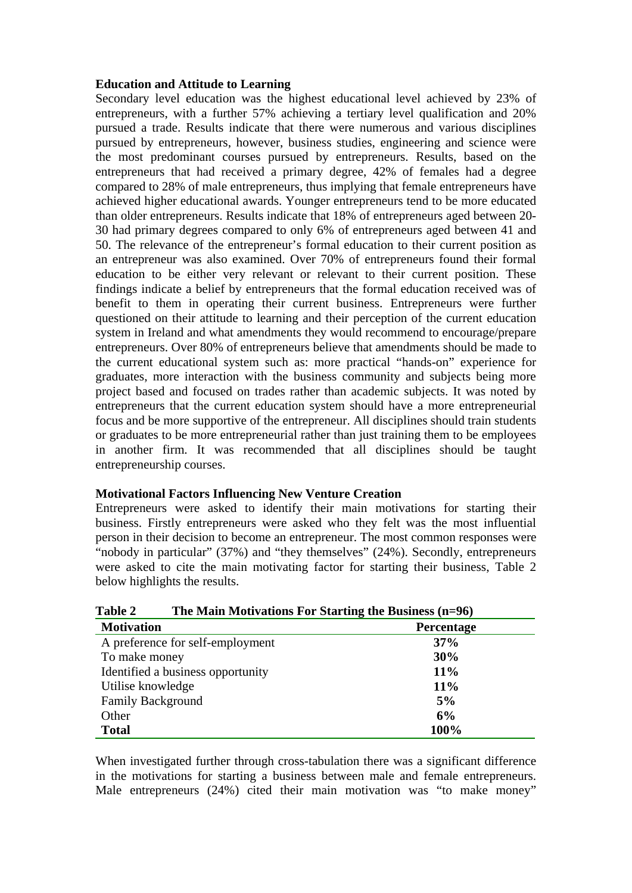#### **Education and Attitude to Learning**

Secondary level education was the highest educational level achieved by 23% of entrepreneurs, with a further 57% achieving a tertiary level qualification and 20% pursued a trade. Results indicate that there were numerous and various disciplines pursued by entrepreneurs, however, business studies, engineering and science were the most predominant courses pursued by entrepreneurs. Results, based on the entrepreneurs that had received a primary degree, 42% of females had a degree compared to 28% of male entrepreneurs, thus implying that female entrepreneurs have achieved higher educational awards. Younger entrepreneurs tend to be more educated than older entrepreneurs. Results indicate that 18% of entrepreneurs aged between 20- 30 had primary degrees compared to only 6% of entrepreneurs aged between 41 and 50. The relevance of the entrepreneur's formal education to their current position as an entrepreneur was also examined. Over 70% of entrepreneurs found their formal education to be either very relevant or relevant to their current position. These findings indicate a belief by entrepreneurs that the formal education received was of benefit to them in operating their current business. Entrepreneurs were further questioned on their attitude to learning and their perception of the current education system in Ireland and what amendments they would recommend to encourage/prepare entrepreneurs. Over 80% of entrepreneurs believe that amendments should be made to the current educational system such as: more practical "hands-on" experience for graduates, more interaction with the business community and subjects being more project based and focused on trades rather than academic subjects. It was noted by entrepreneurs that the current education system should have a more entrepreneurial focus and be more supportive of the entrepreneur. All disciplines should train students or graduates to be more entrepreneurial rather than just training them to be employees in another firm. It was recommended that all disciplines should be taught entrepreneurship courses.

#### **Motivational Factors Influencing New Venture Creation**

Entrepreneurs were asked to identify their main motivations for starting their business. Firstly entrepreneurs were asked who they felt was the most influential person in their decision to become an entrepreneur. The most common responses were "nobody in particular" (37%) and "they themselves" (24%). Secondly, entrepreneurs were asked to cite the main motivating factor for starting their business, Table 2 below highlights the results.

| Table 2<br>The Main Motivations For Starting the Business (n=96) |                   |
|------------------------------------------------------------------|-------------------|
| <b>Motivation</b>                                                | <b>Percentage</b> |
| A preference for self-employment                                 | 37%               |
| To make money                                                    | 30%               |
| Identified a business opportunity                                | 11%               |
| Utilise knowledge                                                | 11%               |
| <b>Family Background</b>                                         | 5%                |
| Other                                                            | 6%                |
| <b>Total</b>                                                     | 100%              |

| Table 2 | The Main Motivations For Starting the Business $(n=96)$ |
|---------|---------------------------------------------------------|
|         |                                                         |

When investigated further through cross-tabulation there was a significant difference in the motivations for starting a business between male and female entrepreneurs. Male entrepreneurs (24%) cited their main motivation was "to make money"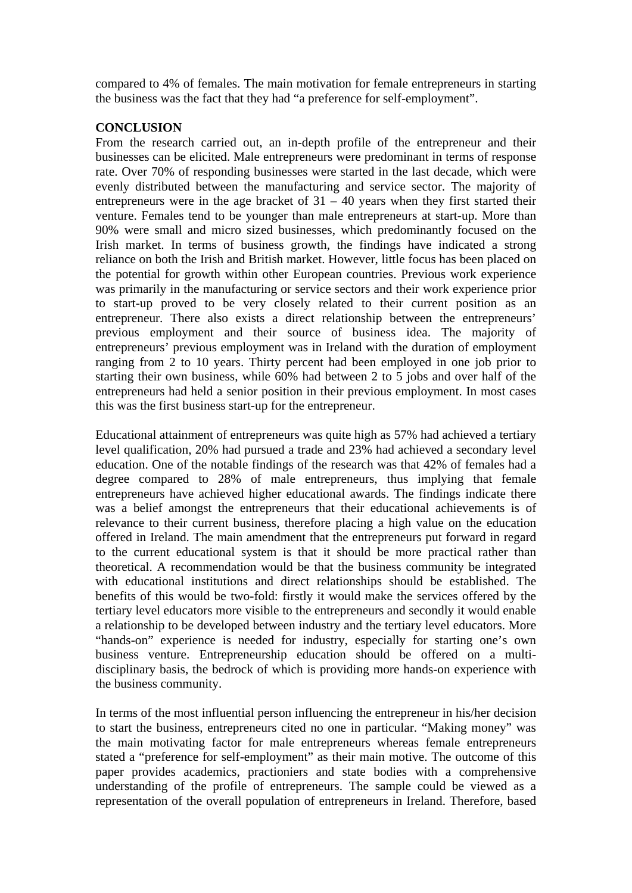compared to 4% of females. The main motivation for female entrepreneurs in starting the business was the fact that they had "a preference for self-employment".

### **CONCLUSION**

From the research carried out, an in-depth profile of the entrepreneur and their businesses can be elicited. Male entrepreneurs were predominant in terms of response rate. Over 70% of responding businesses were started in the last decade, which were evenly distributed between the manufacturing and service sector. The majority of entrepreneurs were in the age bracket of  $31 - 40$  years when they first started their venture. Females tend to be younger than male entrepreneurs at start-up. More than 90% were small and micro sized businesses, which predominantly focused on the Irish market. In terms of business growth, the findings have indicated a strong reliance on both the Irish and British market. However, little focus has been placed on the potential for growth within other European countries. Previous work experience was primarily in the manufacturing or service sectors and their work experience prior to start-up proved to be very closely related to their current position as an entrepreneur. There also exists a direct relationship between the entrepreneurs' previous employment and their source of business idea. The majority of entrepreneurs' previous employment was in Ireland with the duration of employment ranging from 2 to 10 years. Thirty percent had been employed in one job prior to starting their own business, while 60% had between 2 to 5 jobs and over half of the entrepreneurs had held a senior position in their previous employment. In most cases this was the first business start-up for the entrepreneur.

Educational attainment of entrepreneurs was quite high as 57% had achieved a tertiary level qualification, 20% had pursued a trade and 23% had achieved a secondary level education. One of the notable findings of the research was that 42% of females had a degree compared to 28% of male entrepreneurs, thus implying that female entrepreneurs have achieved higher educational awards. The findings indicate there was a belief amongst the entrepreneurs that their educational achievements is of relevance to their current business, therefore placing a high value on the education offered in Ireland. The main amendment that the entrepreneurs put forward in regard to the current educational system is that it should be more practical rather than theoretical. A recommendation would be that the business community be integrated with educational institutions and direct relationships should be established. The benefits of this would be two-fold: firstly it would make the services offered by the tertiary level educators more visible to the entrepreneurs and secondly it would enable a relationship to be developed between industry and the tertiary level educators. More "hands-on" experience is needed for industry, especially for starting one's own business venture. Entrepreneurship education should be offered on a multidisciplinary basis, the bedrock of which is providing more hands-on experience with the business community.

In terms of the most influential person influencing the entrepreneur in his/her decision to start the business, entrepreneurs cited no one in particular. "Making money" was the main motivating factor for male entrepreneurs whereas female entrepreneurs stated a "preference for self-employment" as their main motive. The outcome of this paper provides academics, practioniers and state bodies with a comprehensive understanding of the profile of entrepreneurs. The sample could be viewed as a representation of the overall population of entrepreneurs in Ireland. Therefore, based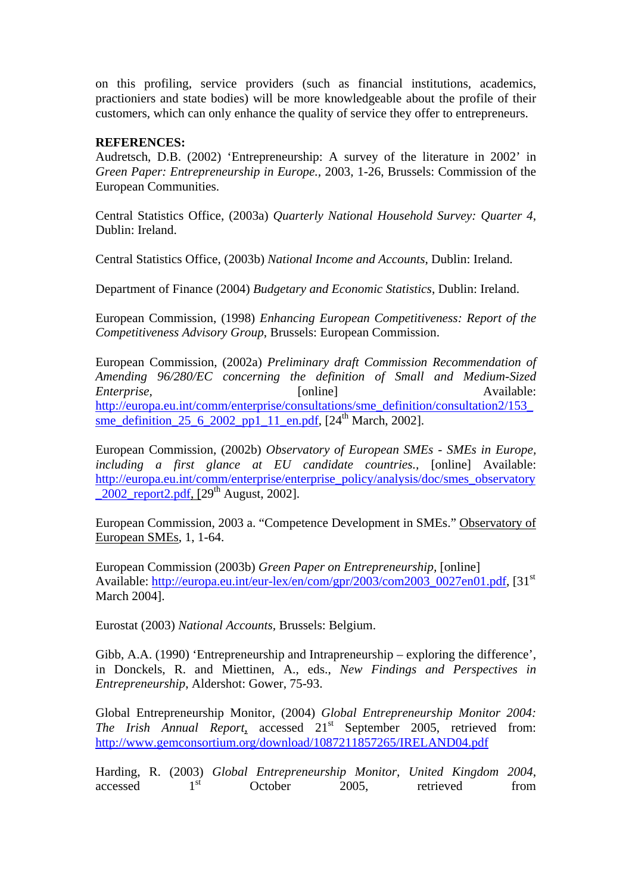on this profiling, service providers (such as financial institutions, academics, practioniers and state bodies) will be more knowledgeable about the profile of their customers, which can only enhance the quality of service they offer to entrepreneurs.

#### **REFERENCES:**

Audretsch, D.B. (2002) 'Entrepreneurship: A survey of the literature in 2002' in *Green Paper: Entrepreneurship in Europe.,* 2003, 1-26, Brussels: Commission of the European Communities.

Central Statistics Office, (2003a) *Quarterly National Household Survey: Quarter 4*, Dublin: Ireland.

Central Statistics Office, (2003b) *National Income and Accounts*, Dublin: Ireland.

Department of Finance (2004) *Budgetary and Economic Statistics*, Dublin: Ireland.

European Commission, (1998) *Enhancing European Competitiveness: Report of the Competitiveness Advisory Group*, Brussels: European Commission.

European Commission, (2002a) *Preliminary draft Commission Recommendation of Amending 96/280/EC concerning the definition of Small and Medium-Sized Enterprise*, *Conserved Condine Enterprise*, *Available: Available:* [http://europa.eu.int/comm/enterprise/consultations/sme\\_definition/consultation2/153\\_](http://europa.eu.int/comm/enterprise/consultations/sme_definition/consultation2/153_sme_definition_25_6_2002_pp1_11_en.pdf) [sme\\_definition\\_25\\_6\\_2002\\_pp1\\_11\\_en.pdf](http://europa.eu.int/comm/enterprise/consultations/sme_definition/consultation2/153_sme_definition_25_6_2002_pp1_11_en.pdf),  $[24<sup>th</sup> March, 2002]$ .

European Commission, (2002b) *Observatory of European SMEs - SMEs in Europe, including a first glance at EU candidate countries.,* [online] Available: [http://europa.eu.int/comm/enterprise/enterprise\\_policy/analysis/doc/smes\\_observatory](http://europa.eu.int/comm/enterprise/enterprise_policy/analysis/doc/smes_observatory_2002_report2.pdf)  $\frac{2002 \text{ report2.pdf}}{296}$ ,  $[29^{th}$  August, 2002].

European Commission, 2003 a. "Competence Development in SMEs." Observatory of European SMEs, 1, 1-64.

European Commission (2003b) *Green Paper on Entrepreneurship,* [online] Available: [http://europa.eu.int/eur-lex/en/com/gpr/2003/com2003\\_0027en01.pdf](http://europa.eu.int/eur-lex/en/com/gpr/2003/com2003_0027en01.pdf), [31<sup>st</sup>] March 2004].

Eurostat (2003) *National Accounts,* Brussels: Belgium.

Gibb, A.A. (1990) 'Entrepreneurship and Intrapreneurship – exploring the difference', in Donckels, R. and Miettinen, A., eds., *New Findings and Perspectives in Entrepreneurship*, Aldershot: Gower, 75-93.

Global Entrepreneurship Monitor, (2004) *Global Entrepreneurship Monitor 2004: The Irish Annual Report*, accessed 21<sup>st</sup> September 2005, retrieved from: <http://www.gemconsortium.org/download/1087211857265/IRELAND04.pdf>

Harding, R. (2003) *Global Entrepreneurship Monitor, United Kingdom 2004*,  $accessed$   $1^{st}$  October 2005, retrieved from